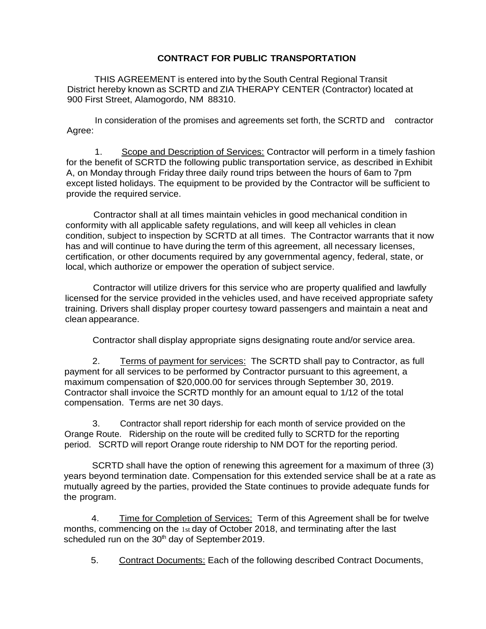## **CONTRACT FOR PUBLIC TRANSPORTATION**

THIS AGREEMENT is entered into by the South Central Regional Transit District hereby known as SCRTD and ZIA THERAPY CENTER (Contractor) located at 900 First Street, Alamogordo, NM 88310.

In consideration of the promises and agreements set forth, the SCRTD and contractor Agree:

1. Scope and Description of Services: Contractor will perform in a timely fashion for the benefit of SCRTD the following public transportation service, as described in Exhibit A, on Monday through Friday three daily round trips between the hours of 6am to 7pm except listed holidays. The equipment to be provided by the Contractor will be sufficient to provide the required service.

Contractor shall at all times maintain vehicles in good mechanical condition in conformity with all applicable safety regulations, and will keep all vehicles in clean condition, subject to inspection by SCRTD at all times. The Contractor warrants that it now has and will continue to have during the term of this agreement, all necessary licenses, certification, or other documents required by any governmental agency, federal, state, or local, which authorize or empower the operation of subject service.

Contractor will utilize drivers for this service who are property qualified and lawfully licensed for the service provided in the vehicles used, and have received appropriate safety training. Drivers shall display proper courtesy toward passengers and maintain a neat and clean appearance.

Contractor shall display appropriate signs designating route and/or service area.

2. Terms of payment for services: The SCRTD shall pay to Contractor, as full payment for all services to be performed by Contractor pursuant to this agreement, a maximum compensation of \$20,000.00 for services through September 30, 2019. Contractor shall invoice the SCRTD monthly for an amount equal to 1/12 of the total compensation. Terms are net 30 days.

3. Contractor shall report ridership for each month of service provided on the Orange Route. Ridership on the route will be credited fully to SCRTD for the reporting period. SCRTD will report Orange route ridership to NM DOT for the reporting period.

SCRTD shall have the option of renewing this agreement for a maximum of three (3) years beyond termination date. Compensation for this extended service shall be at a rate as mutually agreed by the parties, provided the State continues to provide adequate funds for the program.

4. Time for Completion of Services: Term of this Agreement shall be for twelve months, commencing on the 1st day of October 2018, and terminating after the last scheduled run on the 30<sup>th</sup> day of September 2019.

5. Contract Documents: Each of the following described Contract Documents,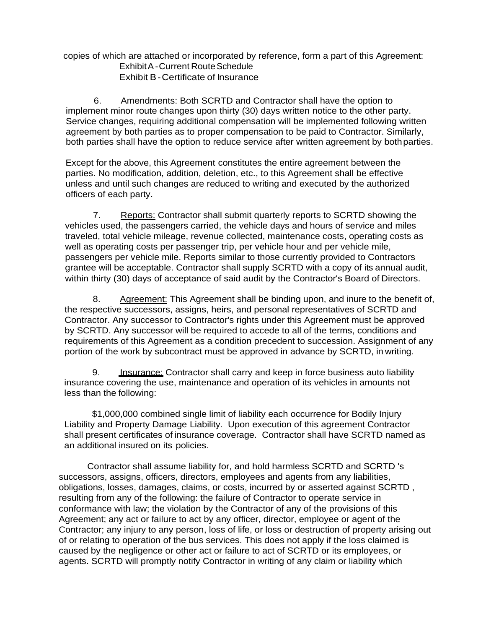copies of which are attached or incorporated by reference, form a part of this Agreement: Exhibit A - Current Route Schedule Exhibit B-Certificate of Insurance

6. Amendments: Both SCRTD and Contractor shall have the option to implement minor route changes upon thirty (30) days written notice to the other party. Service changes, requiring additional compensation will be implemented following written agreement by both parties as to proper compensation to be paid to Contractor. Similarly, both parties shall have the option to reduce service after written agreement by bothparties.

Except for the above, this Agreement constitutes the entire agreement between the parties. No modification, addition, deletion, etc., to this Agreement shall be effective unless and until such changes are reduced to writing and executed by the authorized officers of each party.

7. Reports: Contractor shall submit quarterly reports to SCRTD showing the vehicles used, the passengers carried, the vehicle days and hours of service and miles traveled, total vehicle mileage, revenue collected, maintenance costs, operating costs as well as operating costs per passenger trip, per vehicle hour and per vehicle mile, passengers per vehicle mile. Reports similar to those currently provided to Contractors grantee will be acceptable. Contractor shall supply SCRTD with a copy of its annual audit, within thirty (30) days of acceptance of said audit by the Contractor's Board of Directors.

8. Agreement: This Agreement shall be binding upon, and inure to the benefit of, the respective successors, assigns, heirs, and personal representatives of SCRTD and Contractor. Any successor to Contractor's rights under this Agreement must be approved by SCRTD. Any successor will be required to accede to all of the terms, conditions and requirements of this Agreement as a condition precedent to succession. Assignment of any portion of the work by subcontract must be approved in advance by SCRTD, in writing.

9. Insurance: Contractor shall carry and keep in force business auto liability insurance covering the use, maintenance and operation of its vehicles in amounts not less than the following:

\$1,000,000 combined single limit of liability each occurrence for Bodily Injury Liability and Property Damage Liability. Upon execution of this agreement Contractor shall present certificates of insurance coverage. Contractor shall have SCRTD named as an additional insured on its policies.

Contractor shall assume liability for, and hold harmless SCRTD and SCRTD 's successors, assigns, officers, directors, employees and agents from any liabilities, obligations, losses, damages, claims, or costs, incurred by or asserted against SCRTD , resulting from any of the following: the failure of Contractor to operate service in conformance with law; the violation by the Contractor of any of the provisions of this Agreement; any act or failure to act by any officer, director, employee or agent of the Contractor; any injury to any person, loss of life, or loss or destruction of property arising out of or relating to operation of the bus services. This does not apply if the loss claimed is caused by the negligence or other act or failure to act of SCRTD or its employees, or agents. SCRTD will promptly notify Contractor in writing of any claim or liability which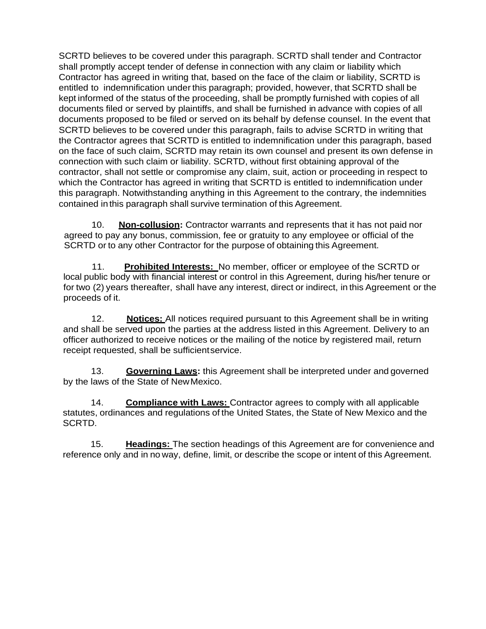SCRTD believes to be covered under this paragraph. SCRTD shall tender and Contractor shall promptly accept tender of defense in connection with any claim or liability which Contractor has agreed in writing that, based on the face of the claim or liability, SCRTD is entitled to indemnification under this paragraph; provided, however, that SCRTD shall be kept informed of the status of the proceeding, shall be promptly furnished with copies of all documents filed or served by plaintiffs, and shall be furnished in advance with copies of all documents proposed to be filed or served on its behalf by defense counsel. In the event that SCRTD believes to be covered under this paragraph, fails to advise SCRTD in writing that the Contractor agrees that SCRTD is entitled to indemnification under this paragraph, based on the face of such claim, SCRTD may retain its own counsel and present its own defense in connection with such claim or liability. SCRTD, without first obtaining approval of the contractor, shall not settle or compromise any claim, suit, action or proceeding in respect to which the Contractor has agreed in writing that SCRTD is entitled to indemnification under this paragraph. Notwithstanding anything in this Agreement to the contrary, the indemnities contained inthis paragraph shall survive termination of this Agreement.

10. **Non-collusion:** Contractor warrants and represents that it has not paid nor agreed to pay any bonus, commission, fee or gratuity to any employee or official of the SCRTD or to any other Contractor for the purpose of obtaining this Agreement.

11. **Prohibited Interests:** No member, officer or employee of the SCRTD or local public body with financial interest or control in this Agreement, during his/her tenure or for two (2) years thereafter, shall have any interest, direct or indirect, in this Agreement or the proceeds of it.

12. **Notices:** All notices required pursuant to this Agreement shall be in writing and shall be served upon the parties at the address listed in this Agreement. Delivery to an officer authorized to receive notices or the mailing of the notice by registered mail, return receipt requested, shall be sufficientservice.

13. **Governing Laws:** this Agreement shall be interpreted under and governed by the laws of the State of NewMexico.

14. **Compliance with Laws:** Contractor agrees to comply with all applicable statutes, ordinances and regulations of the United States, the State of New Mexico and the SCRTD.

15. **Headings:** The section headings of this Agreement are for convenience and reference only and in no way, define, limit, or describe the scope or intent of this Agreement.